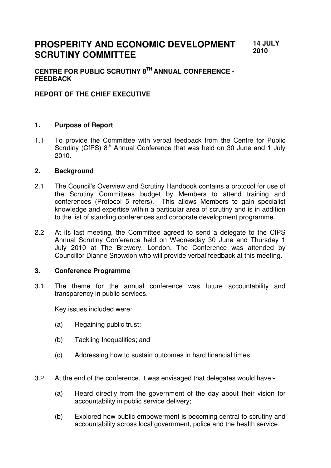#### **PROSPERITY AND ECONOMIC DEVELOPMENT SCRUTINY COMMITTEE 14 JULY 2010**

# **CENTRE FOR PUBLIC SCRUTINY 8TH ANNUAL CONFERENCE - FEEDBACK**

## **REPORT OF THE CHIEF EXECUTIVE**

### **1. Purpose of Report**

1.1 To provide the Committee with verbal feedback from the Centre for Public Scrutiny (CfPS) 8<sup>th</sup> Annual Conference that was held on 30 June and 1 July 2010.

#### **2. Background**

- 2.1 The Council's Overview and Scrutiny Handbook contains a protocol for use of the Scrutiny Committees budget by Members to attend training and conferences (Protocol 5 refers). This allows Members to gain specialist knowledge and expertise within a particular area of scrutiny and is in addition to the list of standing conferences and corporate development programme.
- 2.2 At its last meeting, the Committee agreed to send a delegate to the CfPS Annual Scrutiny Conference held on Wednesday 30 June and Thursday 1 July 2010 at The Brewery, London. The Conference was attended by Councillor Dianne Snowdon who will provide verbal feedback at this meeting.

#### **3. Conference Programme**

3.1 The theme for the annual conference was future accountability and transparency in public services.

Key issues included were:

- (a) Regaining public trust;
- (b) Tackling Inequalities; and
- (c) Addressing how to sustain outcomes in hard financial times:
- 3.2 At the end of the conference, it was envisaged that delegates would have:-
	- (a) Heard directly from the government of the day about their vision for accountability in public service delivery;
	- (b) Explored how public empowerment is becoming central to scrutiny and accountability across local government, police and the health service;